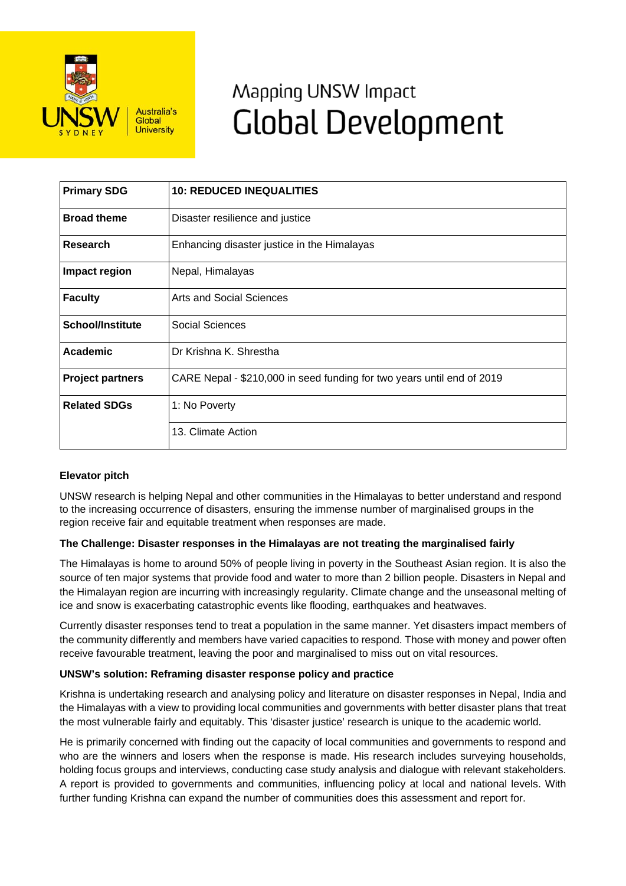

# Mapping UNSW Impact **Global Development**

| <b>Primary SDG</b>      | <b>10: REDUCED INEQUALITIES</b>                                        |
|-------------------------|------------------------------------------------------------------------|
| <b>Broad theme</b>      | Disaster resilience and justice                                        |
| <b>Research</b>         | Enhancing disaster justice in the Himalayas                            |
| Impact region           | Nepal, Himalayas                                                       |
| <b>Faculty</b>          | Arts and Social Sciences                                               |
| <b>School/Institute</b> | Social Sciences                                                        |
| <b>Academic</b>         | Dr Krishna K. Shrestha                                                 |
| <b>Project partners</b> | CARE Nepal - \$210,000 in seed funding for two years until end of 2019 |
| <b>Related SDGs</b>     | 1: No Poverty                                                          |
|                         | 13. Climate Action                                                     |

## **Elevator pitch**

UNSW research is helping Nepal and other communities in the Himalayas to better understand and respond to the increasing occurrence of disasters, ensuring the immense number of marginalised groups in the region receive fair and equitable treatment when responses are made.

### **The Challenge: Disaster responses in the Himalayas are not treating the marginalised fairly**

The Himalayas is home to around 50% of people living in poverty in the Southeast Asian region. It is also the source of ten major systems that provide food and water to more than 2 billion people. Disasters in Nepal and the Himalayan region are incurring with increasingly regularity. Climate change and the unseasonal melting of ice and snow is exacerbating catastrophic events like flooding, earthquakes and heatwaves.

Currently disaster responses tend to treat a population in the same manner. Yet disasters impact members of the community differently and members have varied capacities to respond. Those with money and power often receive favourable treatment, leaving the poor and marginalised to miss out on vital resources.

### **UNSW's solution: Reframing disaster response policy and practice**

Krishna is undertaking research and analysing policy and literature on disaster responses in Nepal, India and the Himalayas with a view to providing local communities and governments with better disaster plans that treat the most vulnerable fairly and equitably. This 'disaster justice' research is unique to the academic world.

He is primarily concerned with finding out the capacity of local communities and governments to respond and who are the winners and losers when the response is made. His research includes surveying households, holding focus groups and interviews, conducting case study analysis and dialogue with relevant stakeholders. A report is provided to governments and communities, influencing policy at local and national levels. With further funding Krishna can expand the number of communities does this assessment and report for.